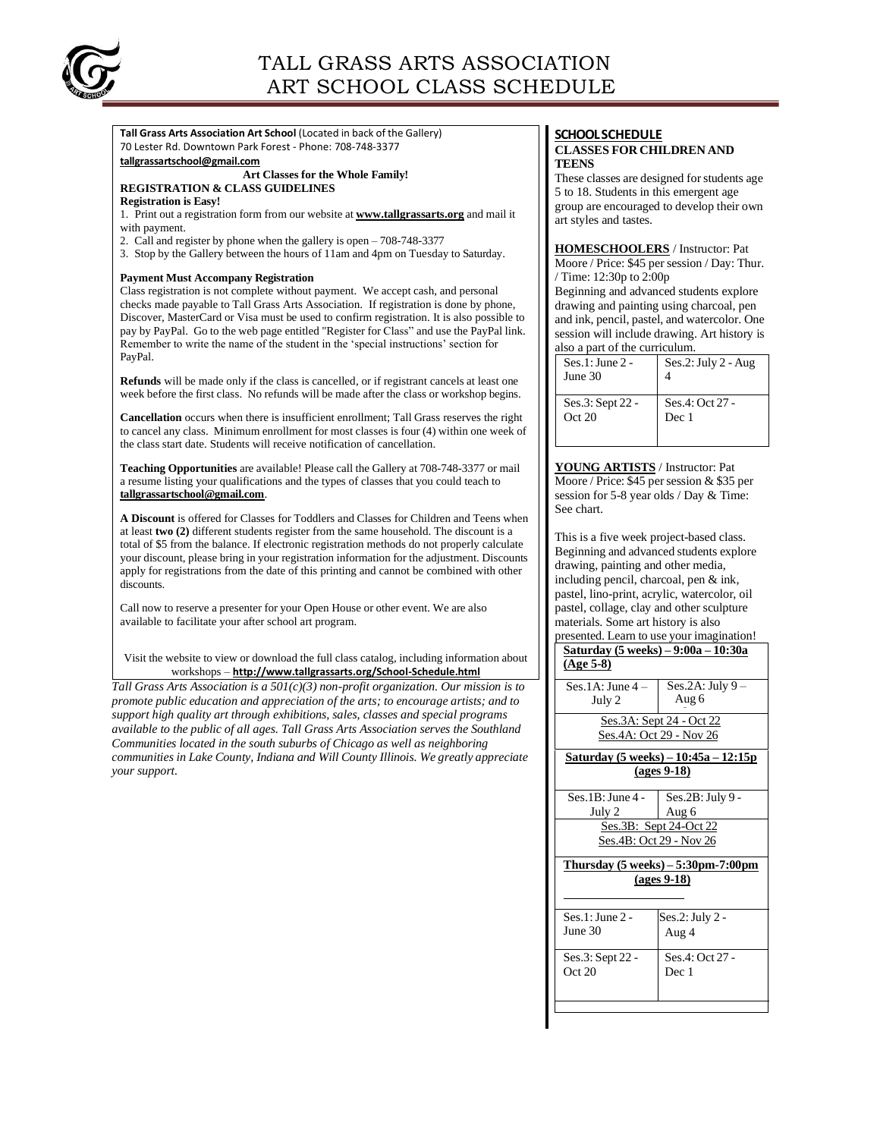

**Tall Grass Arts Association Art School** (Located in back of the Gallery) 70 Lester Rd. Downtown Park Forest - Phone: 708-748-3377 **[tallgrassartschool@gmail.com](mailto:tallgrassartschool@gmail.com)**

#### **Art Classes for the Whole Family! REGISTRATION & CLASS GUIDELINES**

**Registration is Easy!**

- 1. Print out a registration form from our website at **[www.tallgrassarts.org](http://www.tallgrassarts.org/)** and mail it with payment.
- 2. Call and register by phone when the gallery is open 708-748-3377
- 3. Stop by the Gallery between the hours of 11am and 4pm on Tuesday to Saturday.

#### **Payment Must Accompany Registration**

Class registration is not complete without payment. We accept cash, and personal checks made payable to Tall Grass Arts Association. If registration is done by phone, Discover, MasterCard or Visa must be used to confirm registration. It is also possible to pay by PayPal. Go to the web page entitled "Register for Class" and use the PayPal link. Remember to write the name of the student in the 'special instructions' section for PayPal.

**Refunds** will be made only if the class is cancelled, or if registrant cancels at least one week before the first class. No refunds will be made after the class or workshop begins.

**Cancellation** occurs when there is insufficient enrollment; Tall Grass reserves the right to cancel any class. Minimum enrollment for most classes is four (4) within one week of the class start date. Students will receive notification of cancellation.

**Teaching Opportunities** are available! Please call the Gallery at 708-748-3377 or mail a resume listing your qualifications and the types of classes that you could teach to **[tallgrassartschool@gmail.com](mailto:tallgrassartschool@gmail.com)**.

**A Discount** is offered for Classes for Toddlers and Classes for Children and Teens when at least **two (2)** different students register from the same household. The discount is a total of \$5 from the balance. If electronic registration methods do not properly calculate your discount, please bring in your registration information for the adjustment. Discounts apply for registrations from the date of this printing and cannot be combined with other discounts.

Call now to reserve a presenter for your Open House or other event. We are also available to facilitate your after school art program.

Visit the website to view or download the full class catalog, including information about workshops – **<http://www.tallgrassarts.org/School-Schedule.html>**

*Tall Grass Arts Association is a 501(c)(3) non-profit organization. Our mission is to promote public education and appreciation of the arts; to encourage artists; and to support high quality art through exhibitions, sales, classes and special programs available to the public of all ages. Tall Grass Arts Association serves the Southland Communities located in the south suburbs of Chicago as well as neighboring communities in Lake County, Indiana and Will County Illinois. We greatly appreciate your support.*

# **SCHOOLSCHEDULE**

# **CLASSES FOR CHILDREN AND TEENS**

These classes are designed for students age 5 to 18. Students in this emergent age group are encouraged to develop their own art styles and tastes.

#### **HOMESCHOOLERS** / Instructor: Pat

Moore / Price: \$45 per session / Day: Thur. / Time: 12:30p to 2:00p

Beginning and advanced students explore drawing and painting using charcoal, pen and ink, pencil, pastel, and watercolor. One session will include drawing. Art history is also a part of the curriculum.

| aso a part or are carricaram: |                          |  |
|-------------------------------|--------------------------|--|
| $Ses.1: June 2 -$<br>June 30  | $Ses.2: July 2 - Aug$    |  |
| Ses.3: Sept 22 -<br>Oct 20    | Ses.4: Oct 27 -<br>Dec 1 |  |

**YOUNG ARTISTS** / Instructor: Pat Moore / Price: \$45 per session & \$35 per session for 5-8 year olds / Day & Time: See chart.

This is a five week project-based class. Beginning and advanced students explore drawing, painting and other media, including pencil, charcoal, pen & ink, pastel, lino-print, acrylic, watercolor, oil pastel, collage, clay and other sculpture materials. Some art history is also presented. Learn to use your imagination!

| <u> Saturday (5 weeks) – 9:00a – 10:30a</u> |                                                                |  |  |
|---------------------------------------------|----------------------------------------------------------------|--|--|
| $(Age 5-8)$                                 |                                                                |  |  |
| Ses.1A: June 4 –                            | Ses.2A: July $9-$                                              |  |  |
|                                             | Aug 6                                                          |  |  |
| July 2                                      |                                                                |  |  |
| <u>Ses.3A: Sept 24 - Oct 22</u>             |                                                                |  |  |
| Ses.4A: Oct 29 - Nov 26                     |                                                                |  |  |
| Saturday (5 weeks) – 10:45a – 12:15p        |                                                                |  |  |
| $\left(\right)$ (ages 9-18)                 |                                                                |  |  |
| $Ses.1B: June 4 -$                          | $Ses.2B: July 9 -$                                             |  |  |
| July 2                                      | Aug 6                                                          |  |  |
|                                             | Ses.3B: Sept 24-Oct 22                                         |  |  |
| Ses.4B: Oct 29 - Nov 26                     |                                                                |  |  |
|                                             | Thursday $(5 \text{ weeks}) - 5:30 \text{pm} - 7:00 \text{pm}$ |  |  |
|                                             | $\left(\right)$ (ages 9-18)                                    |  |  |
|                                             |                                                                |  |  |
|                                             |                                                                |  |  |
| Ses.1: June 2 -                             | $Ses.2: July 2 -$                                              |  |  |
| June 30                                     | Aug 4                                                          |  |  |
| Ses.3: Sept 22 -                            | Ses.4: Oct 27 -                                                |  |  |
| Oct 20                                      | Dec 1                                                          |  |  |
|                                             |                                                                |  |  |
|                                             |                                                                |  |  |
|                                             |                                                                |  |  |